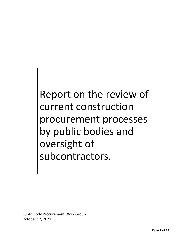Report on the review of current construction procurement processes by public bodies and oversight of subcontractors.

Public Body Procurement Work Group October 12, 2021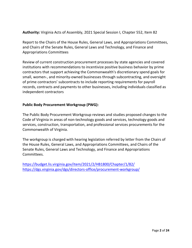**Authority:** Virginia Acts of Assembly, 2021 Special Session I, Chapter 552, Item 82

Report to the Chairs of the House Rules, General Laws, and Appropriations Committees, and Chairs of the Senate Rules, General Laws and Technology, and Finance and Appropriations Committees

Review of current construction procurement processes by state agencies and covered institutions with recommendations to incentivize positive business behavior by prime contractors that support achieving the Commonwealth's discretionary spend goals for small, women-, and minority-owned businesses through subcontracting, and oversight of prime contractors' subcontracts to include reporting requirements for payroll records, contracts and payments to other businesses, including individuals classified as independent contractors

### **Public Body Procurement Workgroup (PWG):**

The Public Body Procurement Workgroup reviews and studies proposed changes to the Code of Virginia in areas of non-technology goods and services, technology goods and services, construction, transportation, and professional services procurements for the Commonwealth of Virginia.

The workgroup is charged with hearing legislation referred by letter from the Chairs of the House Rules, General Laws, and Appropriations Committees, and Chairs of the Senate Rules, General Laws and Technology, and Finance and Appropriations Committees.

<https://budget.lis.virginia.gov/item/2021/2/HB1800/Chapter/1/82/> <https://dgs.virginia.gov/dgs/directors-office/procurement-workgroup/>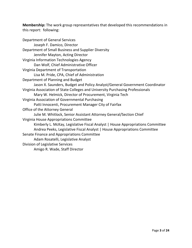**Membership:** The work group representatives that developed this recommendations in this report: following:

| Department of General Services                                                 |  |  |  |  |  |  |
|--------------------------------------------------------------------------------|--|--|--|--|--|--|
| Joseph F. Damico, Director                                                     |  |  |  |  |  |  |
| Department of Small Business and Supplier Diversity                            |  |  |  |  |  |  |
| Jennifer Mayton, Acting Director                                               |  |  |  |  |  |  |
| Virginia Information Technologies Agency                                       |  |  |  |  |  |  |
| Dan Wolf, Chief Administrative Officer                                         |  |  |  |  |  |  |
| Virginia Department of Transportation                                          |  |  |  |  |  |  |
| Lisa M. Pride, CPA, Chief of Administration                                    |  |  |  |  |  |  |
| Department of Planning and Budget                                              |  |  |  |  |  |  |
| Jason X. Saunders, Budget and Policy Analyst/General Government Coordinator    |  |  |  |  |  |  |
| Virginia Association of State Colleges and University Purchasing Professionals |  |  |  |  |  |  |
| Mary W. Helmick, Director of Procurement, Virginia Tech                        |  |  |  |  |  |  |
| Virginia Association of Governmental Purchasing                                |  |  |  |  |  |  |
| Patti Innocenti, Procurement Manager City of Fairfax                           |  |  |  |  |  |  |
| Office of the Attorney General                                                 |  |  |  |  |  |  |
| Julie M. Whitlock, Senior Assistant Attorney General/Section Chief             |  |  |  |  |  |  |
| Virginia House Appropriations Committee                                        |  |  |  |  |  |  |
| Kimberly L. McKay, Legislative Fiscal Analyst   House Appropriations Committee |  |  |  |  |  |  |
| Andrea Peeks, Legislative Fiscal Analyst   House Appropriations Committee      |  |  |  |  |  |  |
| Senate Finance and Appropriations Committee                                    |  |  |  |  |  |  |
| Adam Rosatelli, Legislative Analyst                                            |  |  |  |  |  |  |
| Division of Legislative Services                                               |  |  |  |  |  |  |
| Amigo R. Wade, Staff Director                                                  |  |  |  |  |  |  |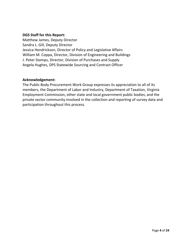#### **DGS Staff for this Report:**

Matthew James, Deputy Director Sandra L. Gill, Deputy Director Jessica Hendrickson, Director of Policy and Legislative Affairs William M. Coppa, Director, Division of Engineering and Buildings J. Peter Stamps, Director, Division of Purchases and Supply Angela Hughes, DPS Statewide Sourcing and Contract Officer

#### **Acknowledgement:**

The Public Body Procurement Work Group expresses its appreciation to all of its members, the Department of Labor and Industry, Department of Taxation, Virginia Employment Commission, other state and local government public bodies, and the private sector community involved in the collection and reporting of survey data and participation throughout this process.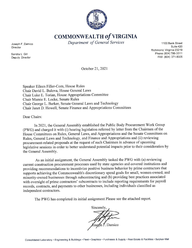

**COMMONWEALTH of VIRGINIA** 

Department of General Services

Joseph F. Damico Director

Sandra L. Gill Deputy Director

1100 Bank Street Suite 420 Richmond, Virginia 23219 Phone (804) 786-3311 FAX (804) 371-8305

October 21, 2021

Speaker Eileen Filler-Corn, House Rules Chair David L. Bulova, House General Laws Chair Luke E. Torian, House Appropriations Committee Chair Mamie E. Locke, Senate Rules Chair George L. Barker, Senate General Laws and Technology Chair Janet D. Howell, Senate Finance and Appropriations Committees

Dear Chairs:

In 2021, the General Assembly established the Public Body Procurement Work Group (PWG) and charged it with (i) hearing legislation referred by letter from the Chairmen of the House Committees on Rules, General Laws, and Appropriations and the Senate Committees on Rules, General Laws and Technology, and Finance and Appropriations and (ii) reviewing procurement-related proposals at the request of such Chairmen in advance of upcoming legislative sessions in order to better understand potential impacts prior to their consideration by the General Assembly.

As an initial assignment, the General Assembly tasked the PWG with (a) reviewing current construction procurement processes used by state agencies and covered institutions and providing recommendations to incentivize positive business behavior by prime contractors that supports achieving the Commonwealth's discretionary spend goals for small, women-owned, and minority-owned businesses through subcontracting and (b) providing best practices associated with oversight of prime contractors' subcontracts to include reporting requirements for payroll records, contracts, and payments to other businesses, including individuals classified as independent contractors.

The PWG has completed its initial assignment Please see the attached report.

Sincerely oseph F. Damico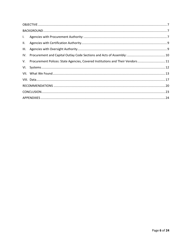| $\mathbf{L}$ |                                                                                   |  |  |  |  |  |  |
|--------------|-----------------------------------------------------------------------------------|--|--|--|--|--|--|
| П.           |                                                                                   |  |  |  |  |  |  |
| III.         |                                                                                   |  |  |  |  |  |  |
| IV.          |                                                                                   |  |  |  |  |  |  |
|              | V. Procurement Polices: State Agencies, Covered Institutions and Their Vendors 11 |  |  |  |  |  |  |
|              |                                                                                   |  |  |  |  |  |  |
|              |                                                                                   |  |  |  |  |  |  |
|              |                                                                                   |  |  |  |  |  |  |
|              |                                                                                   |  |  |  |  |  |  |
|              |                                                                                   |  |  |  |  |  |  |
|              |                                                                                   |  |  |  |  |  |  |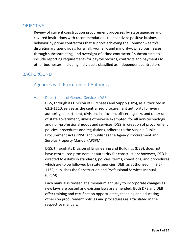## <span id="page-6-0"></span>**OBJECTIVE**

Review of current construction procurement processes by state agencies and covered institutions with recommendations to incentivize positive business behavior by prime contractors that support achieving the Commonwealth's discretionary spend goals for small, women-, and minority-owned businesses through subcontracting, and oversight of prime contractors' subcontracts to include reporting requirements for payroll records, contracts and payments to other businesses, including individuals classified as independent contractors

## <span id="page-6-1"></span>BACKGROUND

## <span id="page-6-2"></span>I. Agencies with Procurement Authority:

### A. Department of General Services (DGS)

DGS, through its Division of Purchases and Supply (DPS), as authorized in §2.2-1110, serves as the centralized procurement authority for every authority, department, division, institution, officer, agency, and other unit of state government, unless otherwise exempted, for all non-technology and non-professional goods and services. DGS, in creation of procurement policies, procedures and regulations, adheres to the Virginia Public Procurement Act (VPPA) and publishes the Agency Procurement and Surplus Property Manual (APSPM).

DGS, through its Division of Engineering and Buildings (DEB), does not have centralized procurement authority for construction; however, DEB is directed to establish standards, policies, terms, conditions, and procedures which are to be followed by state agencies. DEB, as authorized in §2.2- 1132, publishes the Construction and Professional Services Manual (CPSM).

Each manual is revised at a minimum annually to incorporate changes as new laws are passed and existing laws are amended. Both DPS and DEB offer training and certification opportunities, teaching and educating others on procurement policies and procedures as articulated in the respective manuals.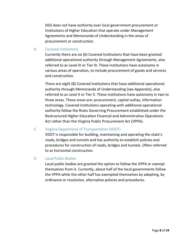DGS does not have authority over local government procurement or Institutions of Higher Education that operate under Management Agreements and Memoranda of Understanding in the areas of procurement or construction.

#### B. Covered Institutions

Currently there are six (6) Covered Institutions that have been granted additional operational authority through Management Agreements, also referred to as Level III or Tier III. These institutions have autonomy in various areas of operation, to include procurement of goods and services and construction.

There are eight (8) Covered Institutions that have additional operational authority through Memoranda of Understanding (see Appendix), also referred to as Level II or Tier II. These institutions have autonomy in two to three areas. Those areas are: procurement, capital outlay, information technology. Covered institutions operating with additional operational authority follow the Rules Governing Procurement established under the Restructured Higher Education Financial and Administrative Operations Act rather than the Virginia Public Procurement Act (VPPA).

#### C. Virginia Department of Transportation (VDOT)

VDOT is responsible for building, maintaining and operating the state's roads, bridges and tunnels and has authority to establish policies and procedures for construction of roads, bridges and tunnels. Often referred to as horizontal construction.

#### D. Local Public Bodies

Local public bodies are granted the option to follow the VPPA or exempt themselves from it. Currently, about half of the local governments follow the VPPA while the other half has exempted themselves by adopting, by ordinance or resolution, alternative policies and procedures.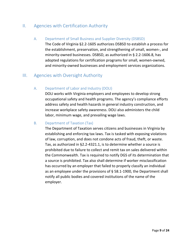# <span id="page-8-0"></span>II. Agencies with Certification Authority

### A. Department of Small Business and Supplier Diversity (DSBSD)

The Code of Virginia §2.2-1605 authorizes DSBSD to establish a process for the establishment, preservation, and strengthening of small, women-, and minority-owned businesses. DSBSD, as authorized in § 2.2-1606.8, has adopted regulations for certification programs for small, women-owned, and minority-owned businesses and employment services organizations.

# <span id="page-8-1"></span>III. Agencies with Oversight Authority

## A. Department of Labor and Industry (DOLI)

DOLI works with Virginia employers and employees to develop strong occupational safety and health programs. The agency's compliance efforts address safety and health hazards in general industry construction, and increase workplace safety awareness. DOLI also administers the child labor, minimum wage, and prevailing wage laws.

## B. Department of Taxation (Tax)

The Department of Taxation serves citizens and businesses in Virginia by establishing and enforcing tax laws. Tax is tasked with exposing violations of law, corruption, and does not condone acts of fraud, theft, or waste. Tax, as authorized in §2.2-4321.1, is to determine whether a source is prohibited due to failure to collect and remit tax on sales delivered within the Commonwealth. Tax is required to notify DGS of its determination that a source is prohibited. Tax also shall determine if worker misclassification has occurred by an employer that failed to properly classify an individual as an employee under the provisions of § 58.1-1900, the Department shall notify all public bodies and covered institutions of the name of the employer.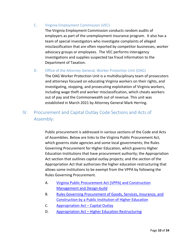C. Virginia Employment Commission (VEC)

The Virginia Employment Commission conducts random audits of employers as part of the unemployment insurance program. It also has a team of special investigators who investigate complaints of alleged misclassification that are often reported by competitor businesses, worker advocacy groups or employees. The VEC performs interagency investigations and supplies suspected tax fraud information to the Department of Taxation.

D. Office of the Attorney General, Worker Protection Unit (OAG)

The OAG Worker Protection Unit is a multidisciplinary team of prosecutors and attorneys focused on educating Virginia workers on their rights, and investigating, stopping, and prosecuting exploitation of Virginia workers, including wage theft and worker misclassification, which cheats workers out of pay and the Commonwealth out of revenue. This unit was established in March 2021 by Attorney General Mark Herring.

# <span id="page-9-0"></span>IV. Procurement and Capital Outlay Code Sections and Acts of Assembly:

Public procurement is addressed in various sections of the Code and Acts of Assemblies. Below are links to the Virginia Public Procurement Act, which governs state agencies and some local governments; the Rules Governing Procurement for Higher Education, which governs Higher Education Institutions that have procurement authority; the Appropriation Act section that outlines capital outlay projects; and the section of the Appropriation Act that authorizes the higher education restructuring that allows some institutions to be exempt from the VPPA by following the Rules Governing Procurement.

- A. [Virginia Public Procurement Act \(VPPA\)](https://dgs.virginia.gov/globalassets/business-units/dps/documents/vppa/vppa-unofficial_2021.pdf) and Construction [Management and Design-build](https://dgs.virginia.gov/globalassets/business-units/dps/documents/vppa/vppa-unofficial_2021.pdf)
- B. [Rules Governing Procurement of Goods, Services, Insurance, and](https://vascupp.org/sites/vascupp/files/2020-05/vascapp-governing-rules.pdf)  [Construction by a Public Institution of Higher Education](https://vascupp.org/sites/vascupp/files/2020-05/vascapp-governing-rules.pdf)
- C. [Appropriation Act –](https://budget.lis.virginia.gov/item/2021/2/HB1800/Chapter/4/4-4.01/) Capital Outlay
- D. Appropriation Act [Higher Education Restructuring](https://budget.lis.virginia.gov/item/2021/2/HB1800/Chapter/4/4-9.01/)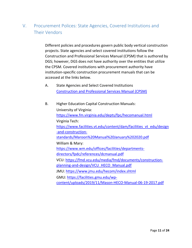# <span id="page-10-0"></span>V. Procurement Polices: State Agencies, Covered Institutions and Their Vendors

Different policies and procedures govern public body vertical construction projects. State agencies and select covered institutions follow the Construction and Professional Services Manual (CPSM) that is authored by DGS; however, DGS does not have authority over the entities that utilize the CPSM. Covered institutions with procurement authority have institution-specific construction procurement manuals that can be accessed at the links below.

A. State Agencies and Select Covered Institutions [Construction and Professional Services Manual \(CPSM\)](https://dgs.virginia.gov/globalassets/business-units/bcom/documents/cpsm/cpsm-2020-rev-0_.pdf)

| Β. | <b>Higher Education Capital Construction Manuals:</b>              |
|----|--------------------------------------------------------------------|
|    | University of Virginia:                                            |
|    | https://www.fm.virginia.edu/depts/fpc/hecomanual.html              |
|    | Virginia Tech:                                                     |
|    | https://www.facilities.vt.edu/content/dam/facilities vt edu/design |
|    | -and-construction-                                                 |
|    | standards/Maroon%20Manual%20January%202020.pdf                     |
|    | William & Mary:                                                    |
|    | https://www.wm.edu/offices/facilities/departments-                 |
|    | directors/fpdc/references/dcmanual.pdf                             |
|    | VCU: https://fmd.vcu.edu/media/fmd/documents/construction-         |
|    | planning-and-design/VCU HECO Manual.pdf                            |
|    | JMU: https://www.jmu.edu/hecom/index.shtml                         |
|    | GMU: https://facilities.gmu.edu/wp-                                |
|    | content/uploads/2019/11/Mason-HECO-Manual-06-19-2017.pdf           |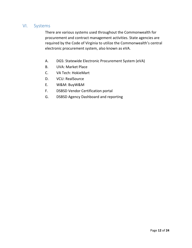## <span id="page-11-0"></span>VI. Systems

There are various systems used throughout the Commonwealth for procurement and contract management activities. State agencies are required by the Code of Virginia to utilize the Commonwealth's central electronic procurement system, also known as eVA.

- A. DGS: Statewide Electronic Procurement System (eVA)
- B. UVA: Market Place
- C. VA Tech: HokieMart
- D. VCU: RealSource
- E. W&M: BuyW&M
- F. DSBSD Vendor Certification portal
- G. DSBSD Agency Dashboard and reporting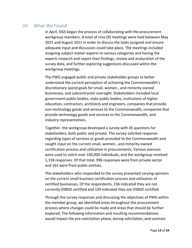## <span id="page-12-0"></span>VII. What We Found

In April, DGS began the process of collaborating with the procurement workgroup members. A total of nine (9) meetings were held between May 2021 and August 2021 in order to discuss the tasks assigned and ensure adequate input and discussion could take place. The meetings included assigning subject matter experts to various categories and having the experts research and report their findings, review and analyzation of the survey data, and further exploring suggestions discussed within the workgroup meetings.

The PWG engaged public and private stakeholder groups to better understand the current perception of achieving the Commonwealth's discretionary spend goals for small, women-, and minority-owned businesses, and subcontractor oversight. Stakeholders included local government public bodies, state public bodies, institutions of higher education, contractors, architects and engineers, companies that provide non-technology goods and services to the Commonwealth, companies that provide technology goods and services to the Commonwealth, and industry representatives.

Together, the workgroup developed a survey with 45 questions for stakeholders, both public and private. The survey solicited response regarding types of services or goods provided to the Commonwealth and sought input on the current small, women-, and minority-owned certification process and utilization in procurements. Various avenues were used to solicit over 100,000 individuals, and the workgroup received 1,158 responses. Of that total, 996 responses were from private sector and 162 were from public entities.

The stakeholders who responded to the survey presented varying opinions on the current small business certification process and utilization of certified businesses. Of the respondents, 236 indicated they are not currently DSBSD certified and 159 indicated they are DSBSD certified.

Through the survey responses and discussing the objectives of PWG within the member group, we identified areas throughout the procurement process where changes could be made and areas that should be further explored. The following information and resulting recommendations would impact the pre-solicitation phase, during solicitation, and contract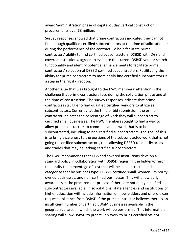award/administration phase of capital outlay vertical construction procurements over \$3 million.

Survey responses showed that prime contractors indicated they cannot find enough qualified certified subcontractors at the time of solicitation or during the performance of the contract. To help facilitate prime contractors' ability to find certified subcontractors, DSBSD with DGS and covered institutions, agreed to evaluate the current DSBSD vendor search functionality and identify potential enhancements to facilitate prime contractors' selection of DSBSD certified subcontractors. Facilitating the ability for prime contractors to more easily find certified subcontractors is a step in the right direction.

Another issue that was brought to the PWG members' attention is the challenge that prime contractors face during the solicitation phase and at the time of construction. The survey responses indicate that prime contractors struggle to find qualified certified vendors to utilize as subcontractors. Currently, at the time of bid submission, the prime contractor indicates the percentage of work they will subcontract to certified small businesses. The PWG members sought to find a way to allow prime contractors to communicate all work that is to be subcontracted, including to non-certified subcontractors. The goal of this is to bring awareness to the portions of the subcontracted work that is not going to certified subcontractors, thus allowing DSBSD to identify areas and trades that may be lacking certified subcontractors.

The PWG recommends that DGS and covered institutions develop a standard policy in collaboration with DSBSD requiring the bidder/offeror to identify the percentage of cost that will be subcontracted and categorize that by business type: DSBSD-certified small, women-, minorityowned businesses, and non-certified businesses. This will allow early awareness in the procurement process if there are not many qualified subcontractors available. In solicitations, state agencies and institutions of higher education will include information on how bidders and offerors can request assistance from DSBSD if the prime contractor believes there is an insufficient number of certified SWaM businesses available in the geographical area in which the work will be performed. This information sharing will allow DSBSD to proactively work to bring certified SWaM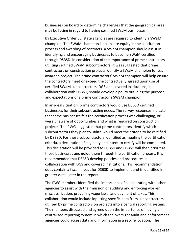businesses on board or determine challenges that the geographical area may be facing in regard to having certified SWaM businesses.

By Executive Order 35, state agencies are required to identify a SWaM champion. The SWaM champion is to ensure equity in the solicitation process and awarding of contracts. A SWaM champion should assist in identifying and encouraging businesses to become SWaM certified through DSBSD. In consideration of the importance of prime contractors utilizing certified SWaM subcontractors, it was suggested that prime contractors on construction projects identify a SWaM champion for each awarded project. The prime contractors' SWaM champion will help ensure the contractors meet or exceed the contractually agreed upon use of certified SWaM subcontractors. DGS and covered institutions, in collaboration with DSBSD, should develop a policy outlining the purpose and expectations of a prime contractor's SWaM champion.

In an ideal situation, prime contractors would use DSBSD certified businesses for their subcontracting needs. The survey responses indicate that some businesses felt the certification process was challenging, or were unaware of opportunities and what is required on construction projects. The PWG suggested that prime contractors identify which subcontractors they plan to utilize would meet the criteria to be certified by DSBSD. For those subcontractors identified as meeting the certification criteria, a declaration of eligibility and intent to certify will be completed. This declaration will be provided to DSBSD and DSBSD will then prioritize those businesses and guide them through the certification process. It is recommended that DSBSD develop policies and procedures in collaboration with DGS and covered institutions. This recommendation does contain a fiscal impact for DSBSD to implement and is identified in greater detail later in the report.

The PWG members identified the importance of collaborating with other agencies to assist with their mission of auditing and enforcing worker misclassification, prevailing wage laws, and payment of taxes. This collaboration would include inputting specific data from subcontractors utilized by prime contractors on projects into a central reporting system. The members discussed and agreed upon the importance of having a centralized reporting system in which the oversight audit and enforcement agencies could access data and information in a secure location. The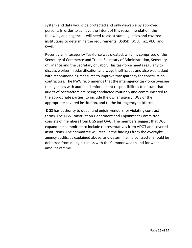system and data would be protected and only viewable by approved persons. In order to achieve the intent of this recommendation, the following audit agencies will need to assist state agencies and covered institutions to determine the requirements: DSBSD, DOLI, Tax, VEC, and OAG.

Recently an Interagency Taskforce was created, which is comprised of the Secretary of Commerce and Trade, Secretary of Administration, Secretary of Finance and the Secretary of Labor. This taskforce meets regularly to discuss worker misclassification and wage theft issues and also was tasked with recommending measures to improve transparency for construction contractors. The PWG recommends that the interagency taskforce oversee the agencies with audit and enforcement responsibilities to ensure that audits of contractors are being conducted routinely and communicated to the appropriate parties, to include the owner agency, DGS or the appropriate covered institution, and to the interagency taskforce.

DGS has authority to debar and enjoin vendors for violating contract terms. The DGS Construction Debarment and Enjoinment Committee consists of members from DGS and OAG. The members suggest that DGS expand the committee to include representatives from VDOT and covered institutions. The committee will receive the findings from the oversight agency audits, as explained above, and determine if a contractor should be debarred from doing business with the Commonwealth and for what amount of time.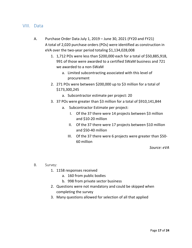## <span id="page-16-0"></span>VIII. Data

- A. Purchase Order Data July 1, 2019 June 30, 2021 (FY20 and FY21) A total of 2,020 purchase orders (POs) were identified as construction in eVA over the two-year period totaling \$1,134,028,008
	- 1. 1,712 POs were less than \$200,000 each for a total of \$50,885,918, 991 of those were awarded to a certified SWaM business and 721 we awarded to a non-SWaM
		- a. Limited subcontracting associated with this level of procurement
	- 2. 271 POs were between \$200,000 up to \$3 million for a total of \$173,300,245
		- a. Subcontractor estimate per project: 20
	- 3. 37 POs were greater than \$3 million for a total of \$910,141,844
		- a. Subcontractor Estimate per project:
			- I. Of the 37 there were 14 projects between \$3 million and \$10-20 million
			- II. Of the 37 there were 17 projects between \$10 million and \$50-40 million
			- III. Of the 37 there were 6 projects were greater than \$50- 60 million

*Source: eVA* 

- B. Survey:
	- 1. 1158 responses received
		- a. 160 from public bodies
		- b. 998 from private sector business
	- 2. Questions were not mandatory and could be skipped when completing the survey
	- 3. Many questions allowed for selection of all that applied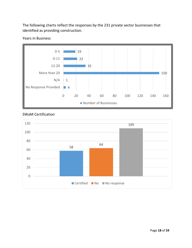The following charts reflect the responses by the 231 private sector businesses that identified as providing construction.



#### Years in Business



## SWaM Certification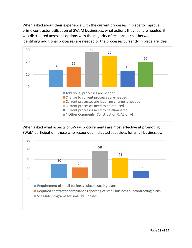When asked about their experience with the current processes in place to improve prime contractor utilization of SWaM businesses, what actions they feel are needed, it was distributed across all options with the majority of responses split between identifying additional processes are needed or the processes currently in place are ideal.



When asked what aspects of SWaM procurements are most effective at promoting SWaM participation, those who responded indicated set asides for small businesses.

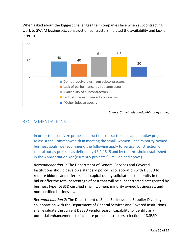When asked about the biggest challenges their companies face when subcontracting work to SWaM businesses, construction contractors indicted the availability and lack of interest.



*Source: Stakeholder and public body survey*

# <span id="page-19-0"></span>RECOMMENDATIONS

In order to incentivize prime construction contractors on capital outlay projects to assist the Commonwealth in meeting the small, women-, and minority-owned business goals, we recommend the following apply to vertical construction of capital outlay projects as defined by §2.2-1515 and by the threshold established in the Appropriation Act (currently projects \$3 million and above).

*Recommendation 1:* The Department of General Services and Covered Institutions should develop a standard policy in collaboration with DSBSD to require bidders and offerors in all capital outlay solicitations to identify in their bid or offer the total percentage of cost that will be subcontracted categorized by business type: DSBSD certified small, women, minority owned businesses, and non-certified businesses.

*Recommendation 2:* The Department of Small Business and Supplier Diversity in collaboration with the Department of General Services and Covered Institutions shall evaluate the current DSBSD vendor search capability to identify any potential enhancements to facilitate prime contractors selection of DSBSD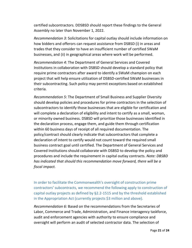certified subcontractors. DDSBSD should report these findings to the General Assembly no later than November 1, 2022.

*Recommendation 3:* Solicitations for capital outlay should include information on how bidders and offerors can request assistance from DSBSD (i) in areas and trades that they consider to have an insufficient number of certified SWaM businesses, and (ii) in geographical areas where work will be performed.

*Recommendation 4*: The Department of General Services and Covered Institutions in collaboration with DSBSD should develop a standard policy that require prime contractors after award to identify a SWaM champion on each project that will help ensure utilization of DSBSD-certified SWaM businesses in their subcontracting. Such policy may permit exceptions based on established criteria.

*Recommendation 5*: The Department of Small Business and Supplier Diversity should develop policies and procedures for prime contractors in the selection of subcontractors to identify those businesses that are eligible for certification and will complete a declaration of eligibility and intent to certify as a small, woman, or minority owned business. DSBSD will prioritize those businesses identified in the declaration process, engage them, and guide them through certification within 60 business days of receipt of all required documentation. The policy/contract should clearly indicate that subcontractors that complete a declaration of intent to certify would not count toward the required small business contract goal until certified. The Department of General Services and Covered Institutions should collaborate with DSBSD to develop the policy and procedures and include the requirement in capital outlay contracts. *Note: DBSBD has indicated that should this recommendation move forward, there will be a fiscal impact.*

In order to facilitate the Commonwealth's oversight of construction prime contractors' subcontracts, we recommend the following apply to construction of capital outlay projects as defined by §2.2-1515 and by the threshold established in the Appropriation Act (currently projects \$3 million and above).

*Recommendation 6:* Based on the recommendations from the Secretaries of Labor, Commerce and Trade, Administration, and Finance interagency taskforce, audit and enforcement agencies with authority to ensure compliance and oversight will perform an audit of selected contractor data. The selection of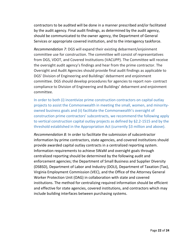contractors to be audited will be done in a manner prescribed and/or facilitated by the audit agency. Final audit findings, as determined by the audit agency, should be communicated to the owner agency, the Department of General Services or appropriate covered institution, and to the interagency taskforce.

*Recommendation 7:* DGS will expand their existing debarment/enjoinment committee use for construction. The committee will consist of representatives from DGS, VDOT, and Covered Institutions (VACUPP). The Committee will receive the oversight audit agency's findings and hear from the prime contractor. The Oversight and Audit Agencies should provide final audit findings as applicable to DGS' Division of Engineering and Buildings' debarment and enjoinment committee. DGS should develop procedures for agencies to report non- contract compliance to Division of Engineering and Buildings' debarment and enjoinment committee.

In order to both (i) incentivize prime construction contractors on capital outlay projects to assist the Commonwealth in meeting the small, women, and minorityowned business goals and (ii) facilitate the Commonwealth's oversight of construction prime contractors' subcontracts, we recommend the following apply to vertical construction capital outlay projects as defined by §2.2-1515 and by the threshold established in the Appropriation Act (currently \$3 million and above).

*Recommendation 8:* In order to facilitate the submission of subcontractor information by prime contractors, state agencies, and covered institutions should provide awarded capital outlay contracts in a centralized reporting system. Information requirements to achieve SWaM and oversight goals through centralized reporting should be determined by the following audit and enforcement agencies; the Department of Small Business and Supplier Diversity (DSBSD), Department of Labor and Industry (DOLI), Department of Taxation (Tax), Virginia Employment Commission (VEC), and the Office of the Attorney General Worker Protection Unit (OAG) in collaboration with state and covered institutions. The method for centralizing required information should be efficient and effective for state agencies, covered institutions, and contractors which may include building interfaces between purchasing systems.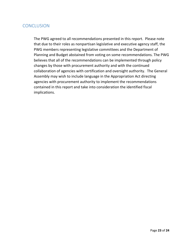## <span id="page-22-0"></span>**CONCLUSION**

The PWG agreed to all recommendations presented in this report. Please note that due to their roles as nonpartisan legislative and executive agency staff, the PWG members representing legislative committees and the Department of Planning and Budget abstained from voting on some recommendations. The PWG believes that all of the recommendations can be implemented through policy changes by those with procurement authority and with the continued collaboration of agencies with certification and oversight authority. The General Assembly may wish to include language in the Appropriation Act directing agencies with procurement authority to implement the recommendations contained in this report and take into consideration the identified fiscal implications.